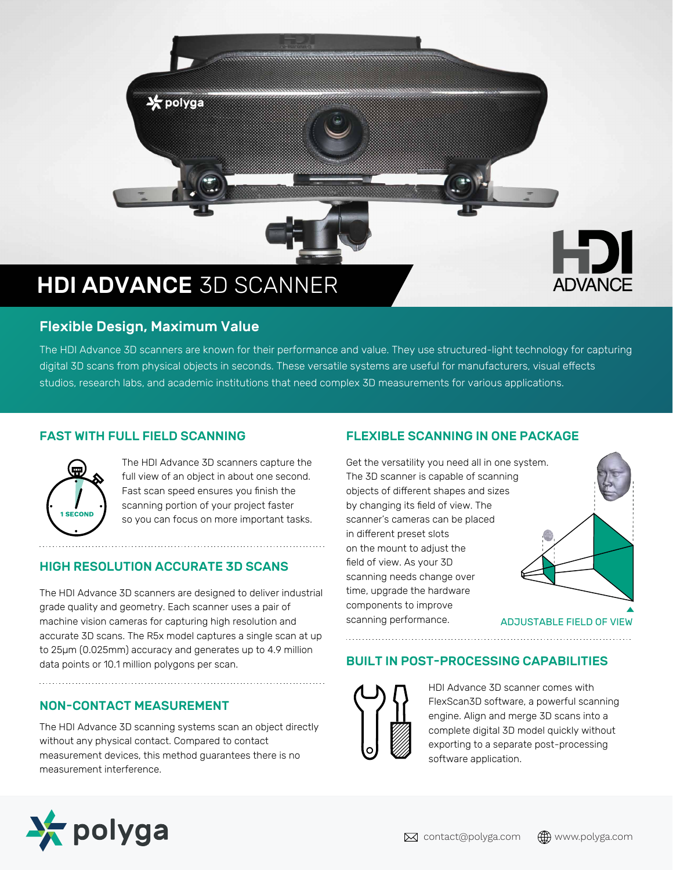

# Flexible Design, Maximum Value

The HDI Advance 3D scanners are known for their performance and value. They use structured-light technology for capturing digital 3D scans from physical objects in seconds. These versatile systems are useful for manufacturers, visual effects studios, research labs, and academic institutions that need complex 3D measurements for various applications.

### FAST WITH FULL FIELD SCANNING



The HDI Advance 3D scanners capture the full view of an object in about one second. Fast scan speed ensures you finish the scanning portion of your project faster so you can focus on more important tasks.

### HIGH RESOLUTION ACCURATE 3D SCANS

The HDI Advance 3D scanners are designed to deliver industrial grade quality and geometry. Each scanner uses a pair of machine vision cameras for capturing high resolution and accurate 3D scans. The R5x model captures a single scan at up to 25µm (0.025mm) accuracy and generates up to 4.9 million data points or 10.1 million polygons per scan.

### NON-CONTACT MEASUREMENT

The HDI Advance 3D scanning systems scan an object directly without any physical contact. Compared to contact measurement devices, this method guarantees there is no measurement interference.

## FLEXIBLE SCANNING IN ONE PACKAGE

Get the versatility you need all in one system. The 3D scanner is capable of scanning objects of different shapes and sizes by changing its field of view. The scanner's cameras can be placed in different preset slots on the mount to adjust the field of view. As your 3D scanning needs change over time, upgrade the hardware components to improve scanning performance.



ADJUSTABLE FIELD OF VIEW

### BUILT IN POST-PROCESSING CAPABILITIES



HDI Advance 3D scanner comes with FlexScan3D software, a powerful scanning engine. Align and merge 3D scans into a complete digital 3D model quickly without exporting to a separate post-processing software application.